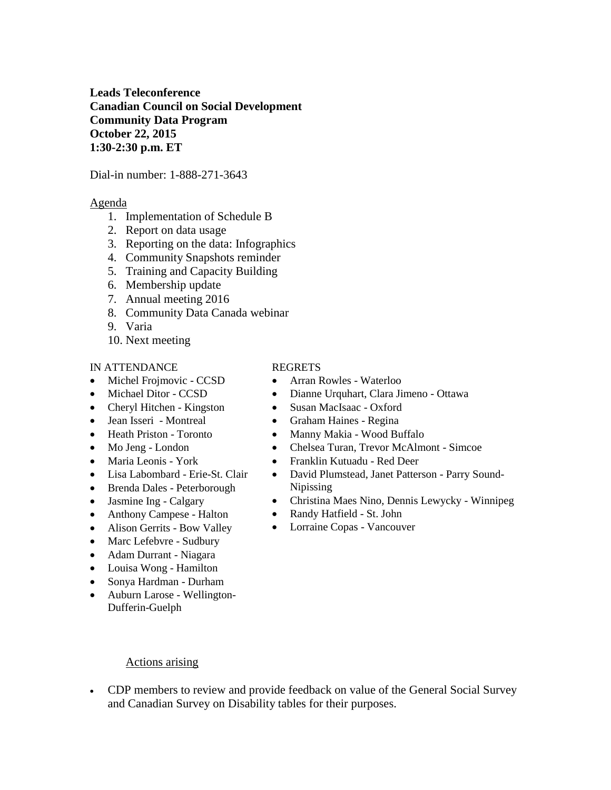**Leads Teleconference Canadian Council on Social Development Community Data Program October 22, 2015 1:30-2:30 p.m. ET**

Dial-in number: 1-888-271-3643

#### Agenda

- 1. Implementation of Schedule B
- 2. Report on data usage
- 3. Reporting on the data: Infographics
- 4. Community Snapshots reminder
- 5. Training and Capacity Building
- 6. Membership update
- 7. Annual meeting 2016
- 8. Community Data Canada webinar
- 9. Varia
- 10. Next meeting

#### IN ATTENDANCE

- Michel Frojmovic CCSD
- Michael Ditor CCSD
- Cheryl Hitchen Kingston
- Jean Isseri Montreal
- Heath Priston Toronto
- Mo Jeng London
- Maria Leonis York
- Lisa Labombard Erie-St. Clair
- Brenda Dales Peterborough
- Jasmine Ing Calgary
- Anthony Campese Halton
- Alison Gerrits Bow Valley
- Marc Lefebvre Sudbury
- Adam Durrant Niagara
- Louisa Wong Hamilton
- Sonya Hardman Durham
- Auburn Larose Wellington-Dufferin-Guelph

#### REGRETS

- Arran Rowles Waterloo
- Dianne Urquhart, Clara Jimeno Ottawa
- Susan MacIsaac Oxford
- Graham Haines Regina
- Manny Makia Wood Buffalo
- Chelsea Turan, Trevor McAlmont Simcoe
- Franklin Kutuadu Red Deer
- David Plumstead, Janet Patterson Parry Sound-Nipissing
- Christina Maes Nino, Dennis Lewycky Winnipeg
- Randy Hatfield St. John
- Lorraine Copas Vancouver

- Actions arising
- CDP members to review and provide feedback on value of the General Social Survey and Canadian Survey on Disability tables for their purposes.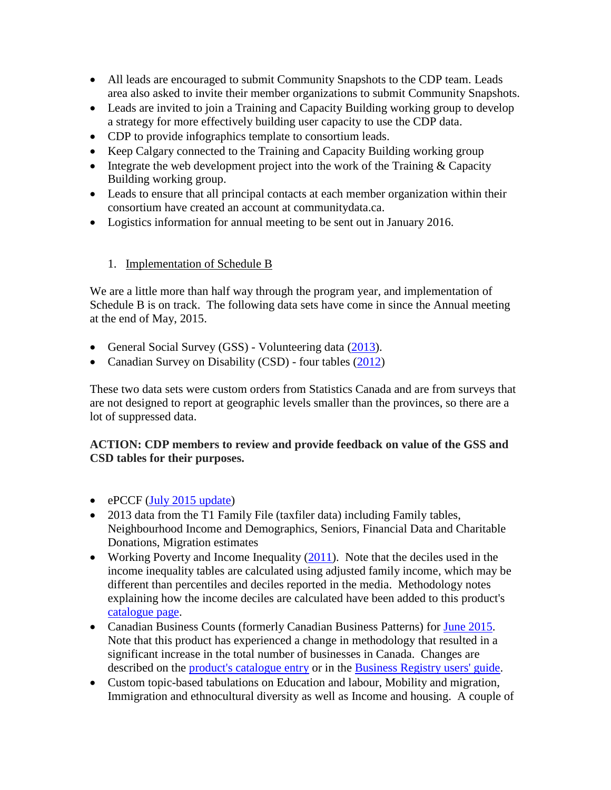- All leads are encouraged to submit Community Snapshots to the CDP team. Leads area also asked to invite their member organizations to submit Community Snapshots.
- Leads are invited to join a Training and Capacity Building working group to develop a strategy for more effectively building user capacity to use the CDP data.
- CDP to provide infographics template to consortium leads.
- Keep Calgary connected to the Training and Capacity Building working group
- Integrate the web development project into the work of the Training  $&$  Capacity Building working group.
- Leads to ensure that all principal contacts at each member organization within their consortium have created an account at communitydata.ca.
- Logistics information for annual meeting to be sent out in January 2016.

### 1. Implementation of Schedule B

We are a little more than half way through the program year, and implementation of Schedule B is on track. The following data sets have come in since the Annual meeting at the end of May, 2015.

- General Social Survey (GSS) Volunteering data [\(2013\)](http://communitydata.ca/content/general-social-survey-giving-volunteering-and-participating-2013).
- Canadian Survey on Disability (CSD) four tables [\(2012\)](http://communitydata.ca/content/canadian-survey-disability-2012)

These two data sets were custom orders from Statistics Canada and are from surveys that are not designed to report at geographic levels smaller than the provinces, so there are a lot of suppressed data.

**ACTION: CDP members to review and provide feedback on value of the GSS and CSD tables for their purposes.**

- $\bullet$  ePCCF [\(July 2015 update\)](http://communitydata.ca/content/enhanced-postal-code-conversion-file-2015-july-update)
- 2013 data from the T1 Family File (taxfiler data) including Family tables, Neighbourhood Income and Demographics, Seniors, Financial Data and Charitable Donations, Migration estimates
- Working Poverty and Income Inequality  $(2011)$ . Note that the deciles used in the income inequality tables are calculated using adjusted family income, which may be different than percentiles and deciles reported in the media. Methodology notes explaining how the income deciles are calculated have been added to this product's [catalogue page.](http://communitydata.ca/content/income-inequality-and-working-poverty-custom-tables-2011)
- Canadian Business Counts (formerly Canadian Business Patterns) for [June 2015.](http://communitydata.ca/content/canadian-business-counts-establishment-and-location-counts-employment-size-and-north) Note that this product has experienced a change in methodology that resulted in a significant increase in the total number of businesses in Canada. Changes are described on the [product's catalogue entry](http://communitydata.ca/content/canadian-business-counts-establishment-and-location-counts-employment-size-and-north) or in the [Business Registry users' guide.](http://communitydata.ca/sites/default/files/sc_CdnBusinessCounts-StructureDesIndustriesCdnnes_guide_en.pdf)
- Custom topic-based tabulations on Education and labour, Mobility and migration, Immigration and ethnocultural diversity as well as Income and housing. A couple of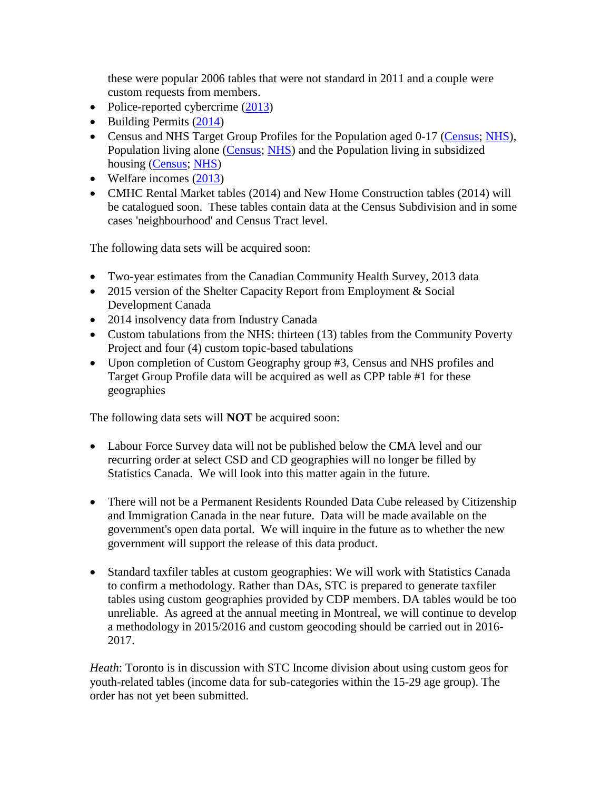these were popular 2006 tables that were not standard in 2011 and a couple were custom requests from members.

- Police-reported cybercrime [\(2013\)](http://communitydata.ca/content/police-reported-cybercrime-2013)
- $\bullet$  Building Permits [\(2014\)](http://communitydata.ca/content/building-permits-2014)
- Census and NHS Target Group Profiles for the Population aged 0-17 [\(Census;](http://communitydata.ca/content/target-group-profile-population-aged-0-17-census-2011) [NHS\)](http://communitydata.ca/content/target-group-profile-population-aged-0-17-nhs-2011), Population living alone [\(Census;](http://communitydata.ca/content/target-group-profile-population-living-alone-census-2011) [NHS\)](http://communitydata.ca/content/target-group-profile-population-living-alone-nhs-2011) and the Population living in subsidized housing [\(Census;](http://communitydata.ca/content/target-group-profile-population-living-subsidized-housing-census-2011) [NHS\)](http://communitydata.ca/content/target-group-profile-population-living-subsidized-housing-nhs-2011)
- Welfare incomes [\(2013\)](http://communitydata.ca/content/welfare-incomes-2013)
- CMHC Rental Market tables (2014) and New Home Construction tables (2014) will be catalogued soon. These tables contain data at the Census Subdivision and in some cases 'neighbourhood' and Census Tract level.

The following data sets will be acquired soon:

- Two-year estimates from the Canadian Community Health Survey, 2013 data
- 2015 version of the Shelter Capacity Report from Employment & Social Development Canada
- 2014 insolvency data from Industry Canada
- Custom tabulations from the NHS: thirteen (13) tables from the Community Poverty Project and four (4) custom topic-based tabulations
- Upon completion of Custom Geography group #3, Census and NHS profiles and Target Group Profile data will be acquired as well as CPP table #1 for these geographies

The following data sets will **NOT** be acquired soon:

- Labour Force Survey data will not be published below the CMA level and our recurring order at select CSD and CD geographies will no longer be filled by Statistics Canada. We will look into this matter again in the future.
- There will not be a Permanent Residents Rounded Data Cube released by Citizenship and Immigration Canada in the near future. Data will be made available on the government's open data portal. We will inquire in the future as to whether the new government will support the release of this data product.
- Standard taxfiler tables at custom geographies: We will work with Statistics Canada to confirm a methodology. Rather than DAs, STC is prepared to generate taxfiler tables using custom geographies provided by CDP members. DA tables would be too unreliable. As agreed at the annual meeting in Montreal, we will continue to develop a methodology in 2015/2016 and custom geocoding should be carried out in 2016- 2017.

*Heath*: Toronto is in discussion with STC Income division about using custom geos for youth-related tables (income data for sub-categories within the 15-29 age group). The order has not yet been submitted.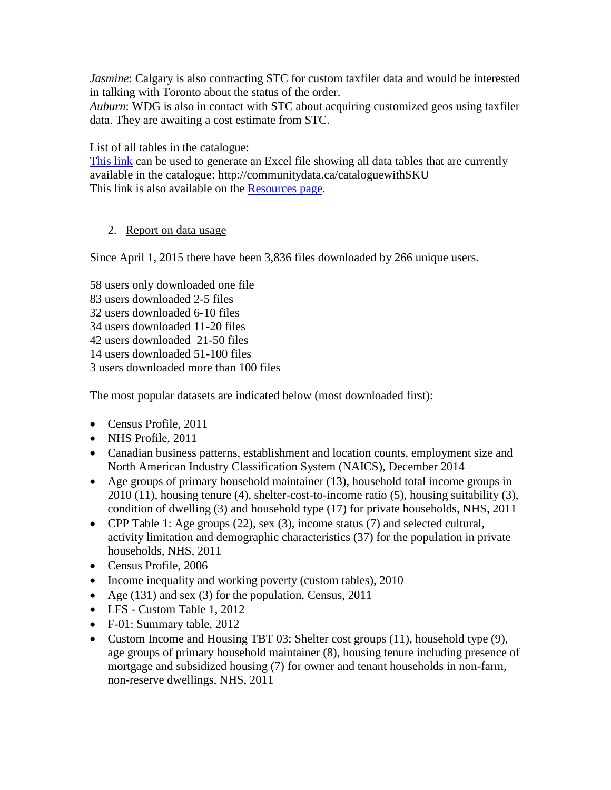*Jasmine*: Calgary is also contracting STC for custom taxfiler data and would be interested in talking with Toronto about the status of the order.

*Auburn*: WDG is also in contact with STC about acquiring customized geos using taxfiler data. They are awaiting a cost estimate from STC.

List of all tables in the catalogue:

[This](http://communitydata.ca/cataloguewithSKU) link can be used to generate an Excel file showing all data tables that are currently available in the catalogue: http://communitydata.ca/cataloguewithSKU This link is also available on the [Resources page.](http://communitydata.ca/resources)

### 2. Report on data usage

Since April 1, 2015 there have been 3,836 files downloaded by 266 unique users.

58 users only downloaded one file 83 users downloaded 2-5 files 32 users downloaded 6-10 files 34 users downloaded 11-20 files 42 users downloaded 21-50 files 14 users downloaded 51-100 files 3 users downloaded more than 100 files

The most popular datasets are indicated below (most downloaded first):

- Census Profile, 2011
- NHS Profile, 2011
- Canadian business patterns, establishment and location counts, employment size and North American Industry Classification System (NAICS), December 2014
- Age groups of primary household maintainer (13), household total income groups in 2010 (11), housing tenure (4), shelter-cost-to-income ratio (5), housing suitability (3), condition of dwelling (3) and household type (17) for private households, NHS, 2011
- CPP Table 1: Age groups (22), sex (3), income status (7) and selected cultural, activity limitation and demographic characteristics (37) for the population in private households, NHS, 2011
- Census Profile, 2006
- Income inequality and working poverty (custom tables), 2010
- Age (131) and sex (3) for the population, Census, 2011
- LFS Custom Table 1, 2012
- F-01: Summary table, 2012
- Custom Income and Housing TBT 03: Shelter cost groups (11), household type (9), age groups of primary household maintainer (8), housing tenure including presence of mortgage and subsidized housing (7) for owner and tenant households in non-farm, non-reserve dwellings, NHS, 2011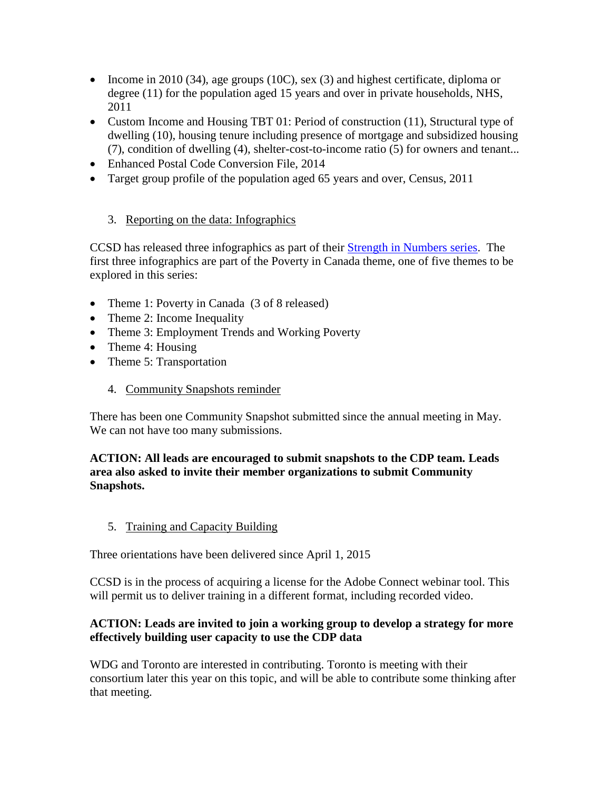- Income in 2010 (34), age groups (10C), sex (3) and highest certificate, diploma or degree (11) for the population aged 15 years and over in private households, NHS, 2011
- Custom Income and Housing TBT 01: Period of construction (11), Structural type of dwelling (10), housing tenure including presence of mortgage and subsidized housing (7), condition of dwelling (4), shelter-cost-to-income ratio (5) for owners and tenant...
- Enhanced Postal Code Conversion File, 2014
- Target group profile of the population aged 65 years and over, Census, 2011

## 3. Reporting on the data: Infographics

CCSD has released three infographics as part of their [Strength in Numbers series.](http://www.ccsd.ca/index.php/evidence/strength-in-numbers-series) The first three infographics are part of the Poverty in Canada theme, one of five themes to be explored in this series:

- Theme 1: Poverty in Canada (3 of 8 released)
- Theme 2: Income Inequality
- Theme 3: Employment Trends and Working Poverty
- Theme 4: Housing
- Theme 5: Transportation
	- 4. Community Snapshots reminder

There has been one Community Snapshot submitted since the annual meeting in May. We can not have too many submissions.

### **ACTION: All leads are encouraged to submit snapshots to the CDP team. Leads area also asked to invite their member organizations to submit Community Snapshots.**

5. Training and Capacity Building

Three orientations have been delivered since April 1, 2015

CCSD is in the process of acquiring a license for the Adobe Connect webinar tool. This will permit us to deliver training in a different format, including recorded video.

### **ACTION: Leads are invited to join a working group to develop a strategy for more effectively building user capacity to use the CDP data**

WDG and Toronto are interested in contributing. Toronto is meeting with their consortium later this year on this topic, and will be able to contribute some thinking after that meeting.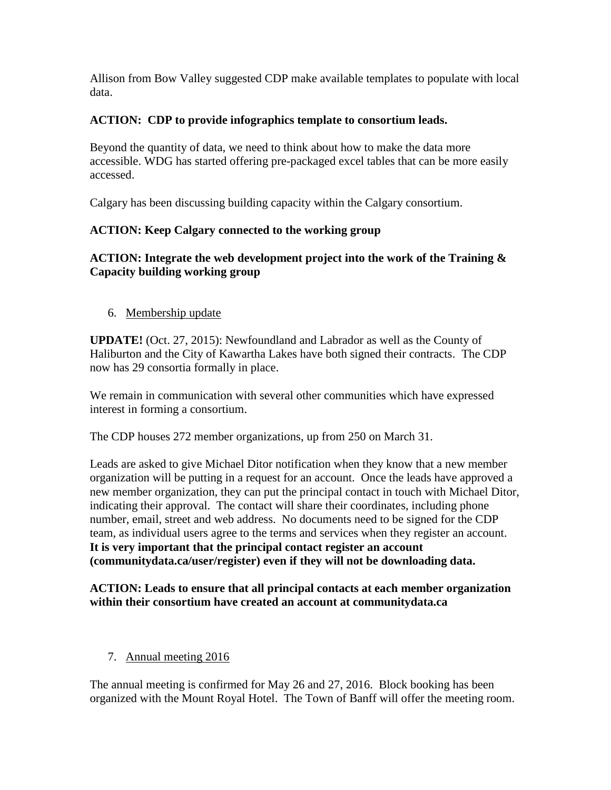Allison from Bow Valley suggested CDP make available templates to populate with local data.

## **ACTION: CDP to provide infographics template to consortium leads.**

Beyond the quantity of data, we need to think about how to make the data more accessible. WDG has started offering pre-packaged excel tables that can be more easily accessed.

Calgary has been discussing building capacity within the Calgary consortium.

## **ACTION: Keep Calgary connected to the working group**

## **ACTION: Integrate the web development project into the work of the Training & Capacity building working group**

6. Membership update

**UPDATE!** (Oct. 27, 2015): Newfoundland and Labrador as well as the County of Haliburton and the City of Kawartha Lakes have both signed their contracts. The CDP now has 29 consortia formally in place.

We remain in communication with several other communities which have expressed interest in forming a consortium.

The CDP houses 272 member organizations, up from 250 on March 31.

Leads are asked to give Michael Ditor notification when they know that a new member organization will be putting in a request for an account. Once the leads have approved a new member organization, they can put the principal contact in touch with Michael Ditor, indicating their approval. The contact will share their coordinates, including phone number, email, street and web address. No documents need to be signed for the CDP team, as individual users agree to the terms and services when they register an account. **It is very important that the principal contact register an account (communitydata.ca/user/register) even if they will not be downloading data.**

#### **ACTION: Leads to ensure that all principal contacts at each member organization within their consortium have created an account at communitydata.ca**

7. Annual meeting 2016

The annual meeting is confirmed for May 26 and 27, 2016. Block booking has been organized with the Mount Royal Hotel. The Town of Banff will offer the meeting room.